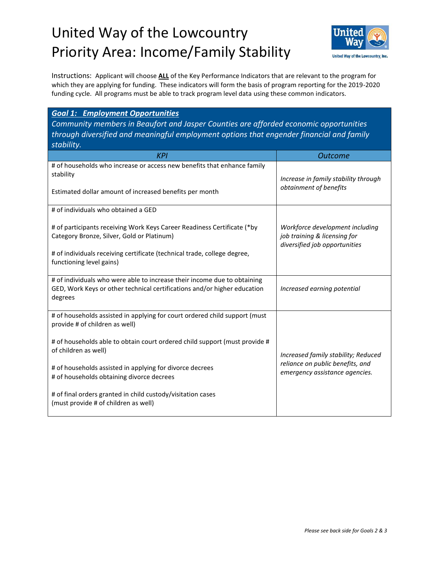## United Way of the Lowcountry Priority Area: Income/Family Stability



Instructions: Applicant will choose **ALL** of the Key Performance Indicators that are relevant to the program for which they are applying for funding. These indicators will form the basis of program reporting for the 2019-2020 funding cycle. All programs must be able to track program level data using these common indicators.

## *Goal 1: Employment Opportunities*

*Community members in Beaufort and Jasper Counties are afforded economic opportunities through diversified and meaningful employment options that engender financial and family stability.*

| <b>KPI</b>                                                                                                                                                                                        | <b>Outcome</b>                                                                                            |
|---------------------------------------------------------------------------------------------------------------------------------------------------------------------------------------------------|-----------------------------------------------------------------------------------------------------------|
| # of households who increase or access new benefits that enhance family<br>stability<br>Estimated dollar amount of increased benefits per month                                                   | Increase in family stability through<br>obtainment of benefits                                            |
| # of individuals who obtained a GED                                                                                                                                                               |                                                                                                           |
| # of participants receiving Work Keys Career Readiness Certificate (*by<br>Category Bronze, Silver, Gold or Platinum)<br># of individuals receiving certificate (technical trade, college degree, | Workforce development including<br>job training & licensing for<br>diversified job opportunities          |
| functioning level gains)                                                                                                                                                                          |                                                                                                           |
| # of individuals who were able to increase their income due to obtaining<br>GED, Work Keys or other technical certifications and/or higher education<br>degrees                                   | Increased earning potential                                                                               |
| # of households assisted in applying for court ordered child support (must<br>provide # of children as well)                                                                                      |                                                                                                           |
| # of households able to obtain court ordered child support (must provide #<br>of children as well)                                                                                                | Increased family stability; Reduced<br>reliance on public benefits, and<br>emergency assistance agencies. |
| # of households assisted in applying for divorce decrees<br># of households obtaining divorce decrees                                                                                             |                                                                                                           |
| # of final orders granted in child custody/visitation cases<br>(must provide # of children as well)                                                                                               |                                                                                                           |